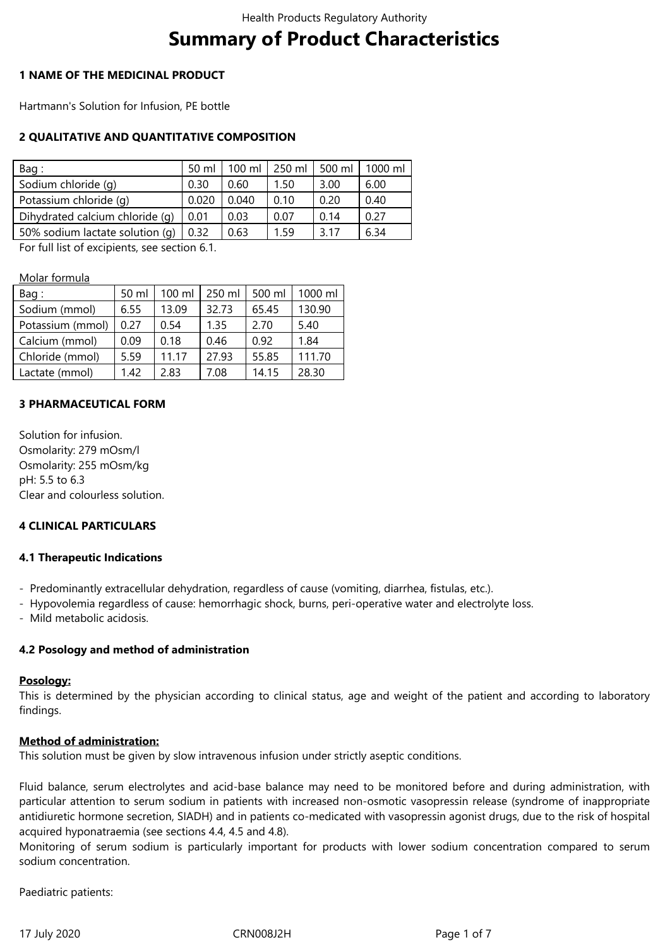# **Summary of Product Characteristics**

# **1 NAME OF THE MEDICINAL PRODUCT**

Hartmann's Solution for Infusion, PE bottle

# **2 QUALITATIVE AND QUANTITATIVE COMPOSITION**

| Bag:                            | 50 ml | $100 \mathrm{m}$ | 250 ml | 500 ml | 1000 ml |
|---------------------------------|-------|------------------|--------|--------|---------|
| Sodium chloride (q)             | 0.30  | 0.60             | 1.50   | 3.00   | 6.00    |
| Potassium chloride (q)          | 0.02C | 0.040            | 0.10   | 0.20   | 0.40    |
| Dihydrated calcium chloride (q) | 0.01  | 0.03             | 0.07   | 0.14   | 0.27    |
| 50% sodium lactate solution (q) | 0.32  | 0.63             | 1.59   | 3.17   | 6.34    |

For full list of excipients, see section 6.1.

Molar formula

| Bag:             | 50 ml | $100 \mathrm{ml}$ | 250 ml | 500 ml | 1000 ml |
|------------------|-------|-------------------|--------|--------|---------|
| Sodium (mmol)    | 6.55  | 13.09             | 32.73  | 65.45  | 130.90  |
| Potassium (mmol) | 0.27  | 0.54              | 1.35   | 2.70   | 5.40    |
| Calcium (mmol)   | 0.09  | 0.18              | 0.46   | 0.92   | 1.84    |
| Chloride (mmol)  | 5.59  | 11.17             | 27.93  | 55.85  | 111.70  |
| Lactate (mmol)   | 1.42  | 2.83              | 7.08   | 14.15  | 28.30   |

# **3 PHARMACEUTICAL FORM**

Solution for infusion. Osmolarity: 279 mOsm/l Osmolarity: 255 mOsm/kg pH: 5.5 to 6.3 Clear and colourless solution.

## **4 CLINICAL PARTICULARS**

## **4.1 Therapeutic Indications**

- Predominantly extracellular dehydration, regardless of cause (vomiting, diarrhea, fistulas, etc.).
- Hypovolemia regardless of cause: hemorrhagic shock, burns, peri-operative water and electrolyte loss.
- Mild metabolic acidosis.

## **4.2 Posology and method of administration**

#### **Posology:**

This is determined by the physician according to clinical status, age and weight of the patient and according to laboratory findings.

## **Method of administration:**

This solution must be given by slow intravenous infusion under strictly aseptic conditions.

Fluid balance, serum electrolytes and acid-base balance may need to be monitored before and during administration, with particular attention to serum sodium in patients with increased non-osmotic vasopressin release (syndrome of inappropriate antidiuretic hormone secretion, SIADH) and in patients co-medicated with vasopressin agonist drugs, due to the risk of hospital acquired hyponatraemia (see sections 4.4, 4.5 and 4.8).

Monitoring of serum sodium is particularly important for products with lower sodium concentration compared to serum sodium concentration.

Paediatric patients: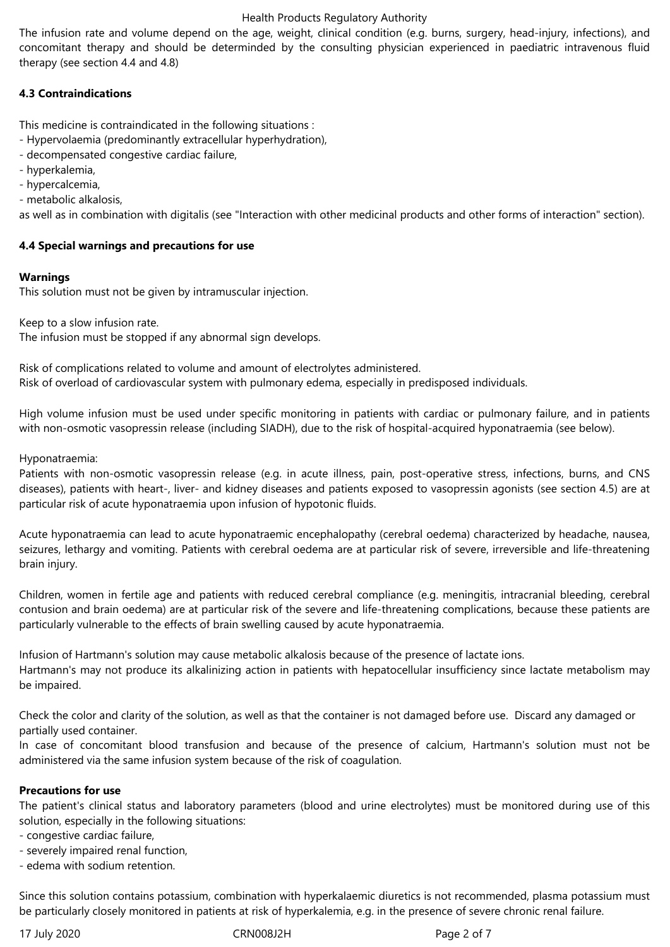## Health Products Regulatory Authority

The infusion rate and volume depend on the age, weight, clinical condition (e.g. burns, surgery, head-injury, infections), and concomitant therapy and should be determinded by the consulting physician experienced in paediatric intravenous fluid therapy (see section 4.4 and 4.8)

# **4.3 Contraindications**

This medicine is contraindicated in the following situations :

- Hypervolaemia (predominantly extracellular hyperhydration),
- decompensated congestive cardiac failure,
- hyperkalemia,
- hypercalcemia,
- metabolic alkalosis,

as well as in combination with digitalis (see "Interaction with other medicinal products and other forms of interaction" section).

# **4.4 Special warnings and precautions for use**

# **Warnings**

This solution must not be given by intramuscular injection.

Keep to a slow infusion rate. The infusion must be stopped if any abnormal sign develops.

Risk of complications related to volume and amount of electrolytes administered. Risk of overload of cardiovascular system with pulmonary edema, especially in predisposed individuals.

High volume infusion must be used under specific monitoring in patients with cardiac or pulmonary failure, and in patients with non-osmotic vasopressin release (including SIADH), due to the risk of hospital-acquired hyponatraemia (see below).

Hyponatraemia:

Patients with non-osmotic vasopressin release (e.g. in acute illness, pain, post-operative stress, infections, burns, and CNS diseases), patients with heart-, liver- and kidney diseases and patients exposed to vasopressin agonists (see section 4.5) are at particular risk of acute hyponatraemia upon infusion of hypotonic fluids.

Acute hyponatraemia can lead to acute hyponatraemic encephalopathy (cerebral oedema) characterized by headache, nausea, seizures, lethargy and vomiting. Patients with cerebral oedema are at particular risk of severe, irreversible and life-threatening brain injury.

Children, women in fertile age and patients with reduced cerebral compliance (e.g. meningitis, intracranial bleeding, cerebral contusion and brain oedema) are at particular risk of the severe and life-threatening complications, because these patients are particularly vulnerable to the effects of brain swelling caused by acute hyponatraemia.

Infusion of Hartmann's solution may cause metabolic alkalosis because of the presence of lactate ions. Hartmann's may not produce its alkalinizing action in patients with hepatocellular insufficiency since lactate metabolism may be impaired.

Check the color and clarity of the solution, as well as that the container is not damaged before use. Discard any damaged or partially used container.

In case of concomitant blood transfusion and because of the presence of calcium, Hartmann's solution must not be administered via the same infusion system because of the risk of coagulation.

## **Precautions for use**

The patient's clinical status and laboratory parameters (blood and urine electrolytes) must be monitored during use of this solution, especially in the following situations:

- congestive cardiac failure,

- severely impaired renal function,

- edema with sodium retention.

Since this solution contains potassium, combination with hyperkalaemic diuretics is not recommended, plasma potassium must be particularly closely monitored in patients at risk of hyperkalemia, e.g. in the presence of severe chronic renal failure.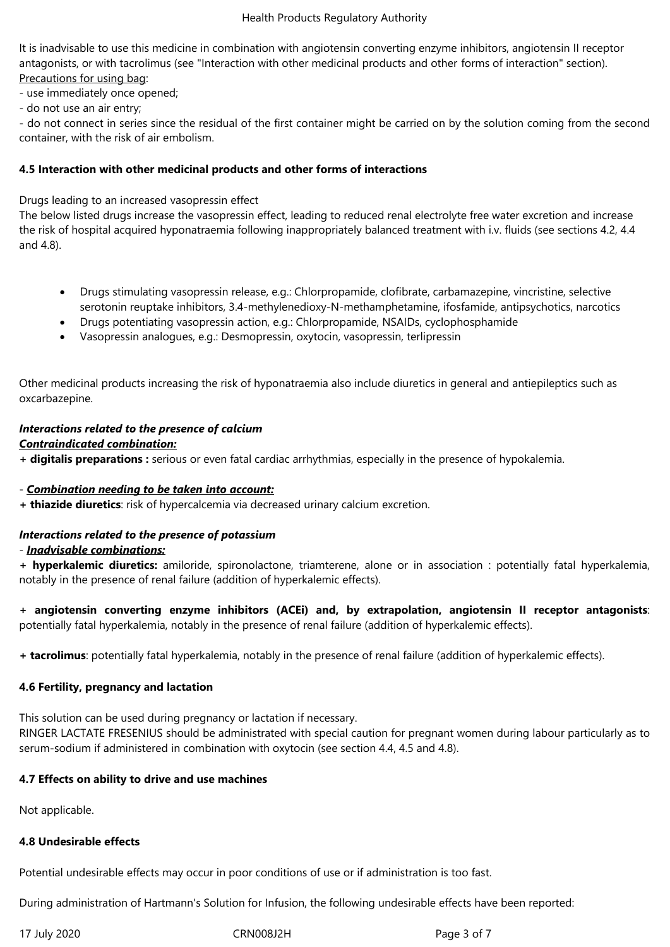It is inadvisable to use this medicine in combination with angiotensin converting enzyme inhibitors, angiotensin II receptor antagonists, or with tacrolimus (see "Interaction with other medicinal products and other forms of interaction" section). Precautions for using bag:

- use immediately once opened;

- do not use an air entry;

- do not connect in series since the residual of the first container might be carried on by the solution coming from the second container, with the risk of air embolism.

## **4.5 Interaction with other medicinal products and other forms of interactions**

Drugs leading to an increased vasopressin effect

The below listed drugs increase the vasopressin effect, leading to reduced renal electrolyte free water excretion and increase the risk of hospital acquired hyponatraemia following inappropriately balanced treatment with i.v. fluids (see sections 4.2, 4.4 and 4.8).

- Drugs stimulating vasopressin release, e.g.: Chlorpropamide, clofibrate, carbamazepine, vincristine, selective serotonin reuptake inhibitors, 3.4-methylenedioxy-N-methamphetamine, ifosfamide, antipsychotics, narcotics
- Drugs potentiating vasopressin action, e.g.: Chlorpropamide, NSAIDs, cyclophosphamide
- Vasopressin analogues, e.g.: Desmopressin, oxytocin, vasopressin, terlipressin

Other medicinal products increasing the risk of hyponatraemia also include diuretics in general and antiepileptics such as oxcarbazepine.

#### *Interactions related to the presence of calcium Contraindicated combination:*

**+ digitalis preparations :** serious or even fatal cardiac arrhythmias, especially in the presence of hypokalemia.

## - *Combination needing to be taken into account:*

**+ thiazide diuretics**: risk of hypercalcemia via decreased urinary calcium excretion.

# *Interactions related to the presence of potassium*

## - *Inadvisable combinations:*

**+ hyperkalemic diuretics:** amiloride, spironolactone, triamterene, alone or in association : potentially fatal hyperkalemia, notably in the presence of renal failure (addition of hyperkalemic effects).

**+ angiotensin converting enzyme inhibitors (ACEi) and, by extrapolation, angiotensin II receptor antagonists**: potentially fatal hyperkalemia, notably in the presence of renal failure (addition of hyperkalemic effects).

**+ tacrolimus**: potentially fatal hyperkalemia, notably in the presence of renal failure (addition of hyperkalemic effects).

# **4.6 Fertility, pregnancy and lactation**

This solution can be used during pregnancy or lactation if necessary.

RINGER LACTATE FRESENIUS should be administrated with special caution for pregnant women during labour particularly as to serum-sodium if administered in combination with oxytocin (see section 4.4, 4.5 and 4.8).

## **4.7 Effects on ability to drive and use machines**

Not applicable.

## **4.8 Undesirable effects**

Potential undesirable effects may occur in poor conditions of use or if administration is too fast.

During administration of Hartmann's Solution for Infusion, the following undesirable effects have been reported:

17 July 2020 CRN008J2H Page 3 of 7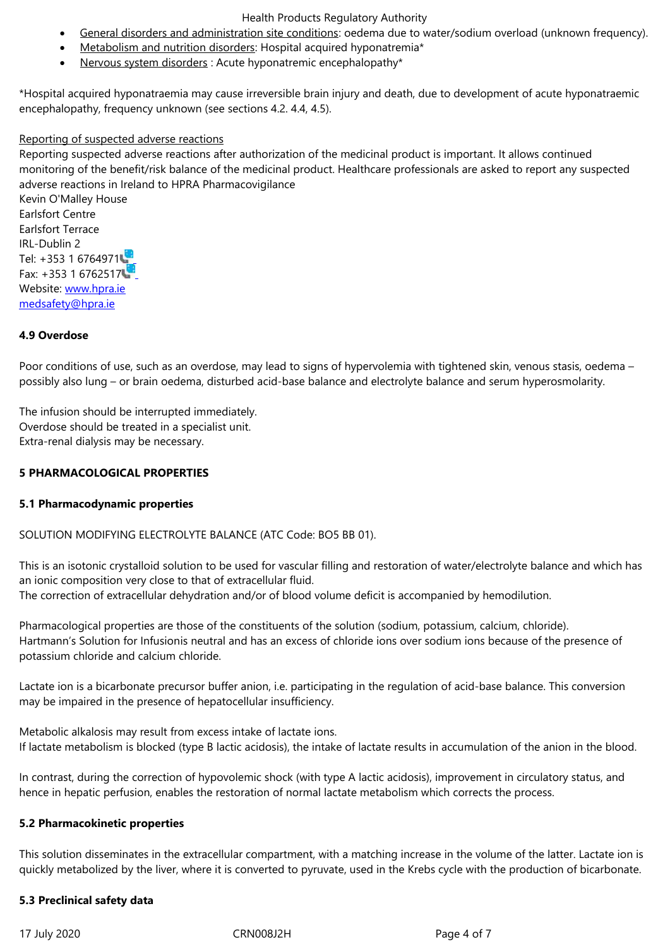• Nervous system disorders : Acute hyponatremic encephalopathy\*

\*Hospital acquired hyponatraemia may cause irreversible brain injury and death, due to development of acute hyponatraemic encephalopathy, frequency unknown (see sections 4.2. 4.4, 4.5).

# Reporting of suspected adverse reactions

Reporting suspected adverse reactions after authorization of the medicinal product is important. It allows continued monitoring of the benefit/risk balance of the medicinal product. Healthcare professionals are asked to report any suspected adverse reactions in Ireland to HPRA Pharmacovigilance Kevin O'Malley House Earlsfort Centre Earlsfort Terrace IRL-Dublin 2 Tel: +353 1 6764971 Fax: +353 1 6762517 Website: www.hpra.ie medsafety@hpra.ie

# **4.9 Over[dose](http://www.hpra.ie/)**

[Poor conditions of u](mailto:medsafety@hpra.ie)se, such as an overdose, may lead to signs of hypervolemia with tightened skin, venous stasis, oedema – possibly also lung – or brain oedema, disturbed acid-base balance and electrolyte balance and serum hyperosmolarity.

The infusion should be interrupted immediately. Overdose should be treated in a specialist unit. Extra-renal dialysis may be necessary.

# **5 PHARMACOLOGICAL PROPERTIES**

## **5.1 Pharmacodynamic properties**

# SOLUTION MODIFYING ELECTROLYTE BALANCE (ATC Code: BO5 BB 01).

This is an isotonic crystalloid solution to be used for vascular filling and restoration of water/electrolyte balance and which has an ionic composition very close to that of extracellular fluid. The correction of extracellular dehydration and/or of blood volume deficit is accompanied by hemodilution.

Pharmacological properties are those of the constituents of the solution (sodium, potassium, calcium, chloride). Hartmann's Solution for Infusionis neutral and has an excess of chloride ions over sodium ions because of the presence of potassium chloride and calcium chloride.

Lactate ion is a bicarbonate precursor buffer anion, i.e. participating in the regulation of acid-base balance. This conversion may be impaired in the presence of hepatocellular insufficiency.

Metabolic alkalosis may result from excess intake of lactate ions. If lactate metabolism is blocked (type B lactic acidosis), the intake of lactate results in accumulation of the anion in the blood.

In contrast, during the correction of hypovolemic shock (with type A lactic acidosis), improvement in circulatory status, and hence in hepatic perfusion, enables the restoration of normal lactate metabolism which corrects the process.

# **5.2 Pharmacokinetic properties**

This solution disseminates in the extracellular compartment, with a matching increase in the volume of the latter. Lactate ion is quickly metabolized by the liver, where it is converted to pyruvate, used in the Krebs cycle with the production of bicarbonate.

## **5.3 Preclinical safety data**

17 July 2020 **CRN008J2H Page 4 of 7**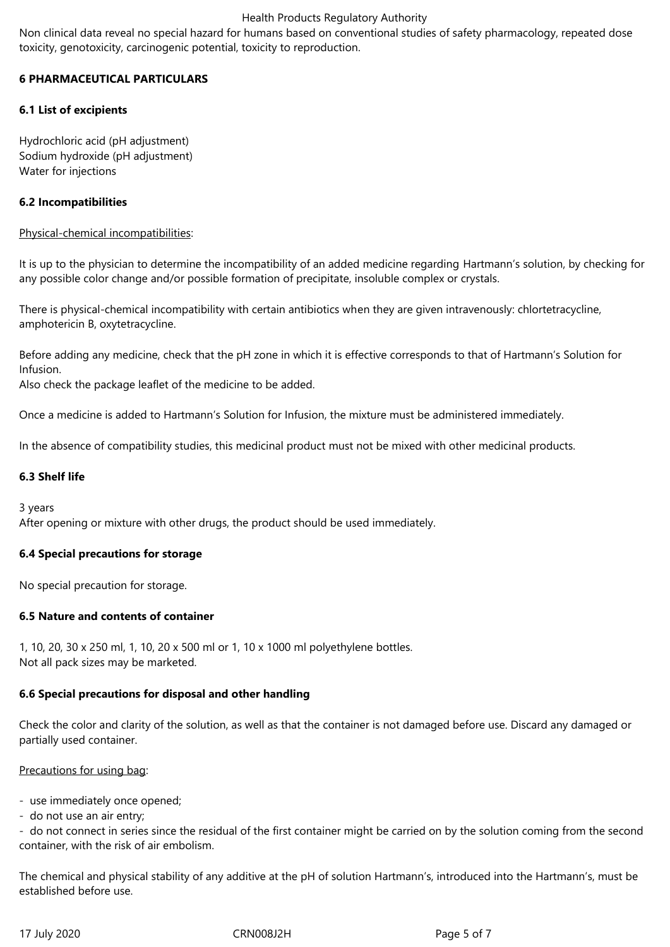## Health Products Regulatory Authority

Non clinical data reveal no special hazard for humans based on conventional studies of safety pharmacology, repeated dose toxicity, genotoxicity, carcinogenic potential, toxicity to reproduction.

# **6 PHARMACEUTICAL PARTICULARS**

# **6.1 List of excipients**

Hydrochloric acid (pH adjustment) Sodium hydroxide (pH adjustment) Water for injections

# **6.2 Incompatibilities**

## Physical-chemical incompatibilities:

It is up to the physician to determine the incompatibility of an added medicine regarding Hartmann's solution, by checking for any possible color change and/or possible formation of precipitate, insoluble complex or crystals.

There is physical-chemical incompatibility with certain antibiotics when they are given intravenously: chlortetracycline, amphotericin B, oxytetracycline.

Before adding any medicine, check that the pH zone in which it is effective corresponds to that of Hartmann's Solution for Infusion.

Also check the package leaflet of the medicine to be added.

Once a medicine is added to Hartmann's Solution for Infusion, the mixture must be administered immediately.

In the absence of compatibility studies, this medicinal product must not be mixed with other medicinal products.

## **6.3 Shelf life**

3 years

After opening or mixture with other drugs, the product should be used immediately.

## **6.4 Special precautions for storage**

No special precaution for storage.

## **6.5 Nature and contents of container**

1, 10, 20, 30 x 250 ml, 1, 10, 20 x 500 ml or 1, 10 x 1000 ml polyethylene bottles. Not all pack sizes may be marketed.

## **6.6 Special precautions for disposal and other handling**

Check the color and clarity of the solution, as well as that the container is not damaged before use. Discard any damaged or partially used container.

## Precautions for using bag:

- use immediately once opened;
- do not use an air entry;

- do not connect in series since the residual of the first container might be carried on by the solution coming from the second container, with the risk of air embolism.

The chemical and physical stability of any additive at the pH of solution Hartmann's, introduced into the Hartmann's, must be established before use.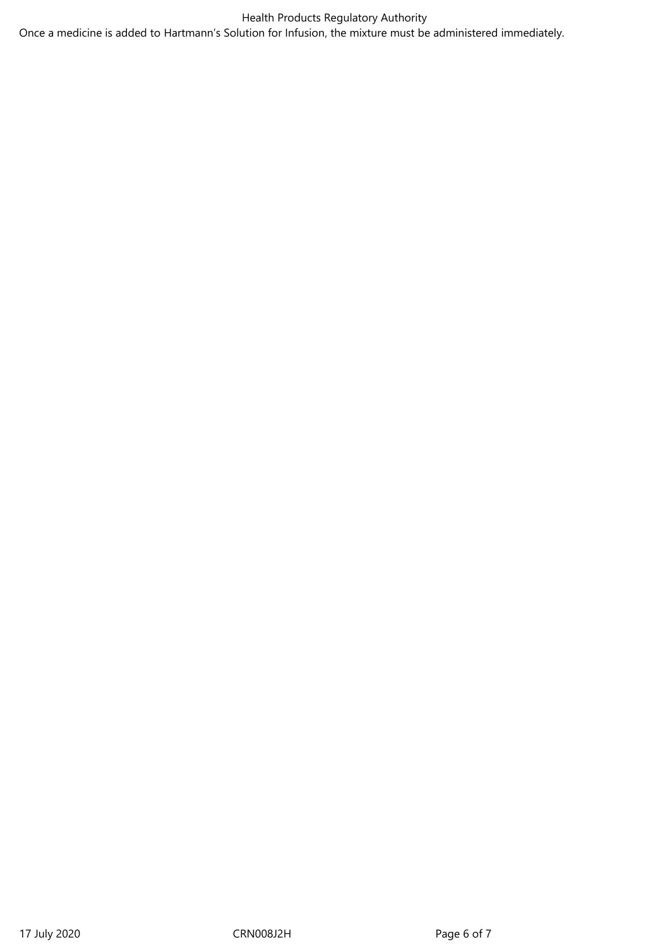Health Products Regulatory Authority Once a medicine is added to Hartmann's Solution for Infusion, the mixture must be administered immediately.